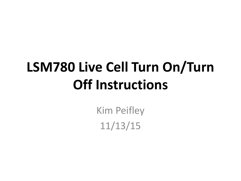# **LSM780 Live Cell Turn On/Turn Off Instructions**

Kim Peifley 11/13/15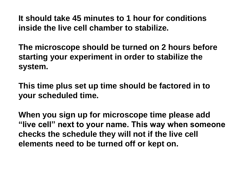**It should take 45 minutes to 1 hour for conditions inside the live cell chamber to stabilize.** 

**The microscope should be turned on 2 hours before starting your experiment in order to stabilize the system.**

**This time plus set up time should be factored in to your scheduled time.**

**When you sign up for microscope time please add "live cell" next to your name. This way when someone checks the schedule they will not if the live cell elements need to be turned off or kept on.**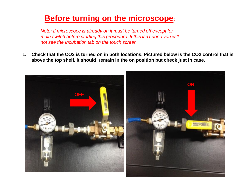## **Before turning on the microscope:**

*Note: If microscope is already on it must be turned off except for main switch before starting this procedure. If this isn't done you will not see the Incubation tab on the touch screen.* 

**1. Check that the CO2 is turned on in both locations. Pictured below is the CO2 control that is above the top shelf. It should remain in the on position but check just in case.** 

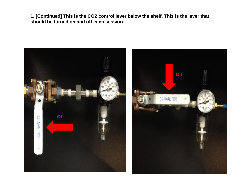**1. [Continued] This is the CO2 control lever below the shelf. This is the lever that should be turned on and off each session.**

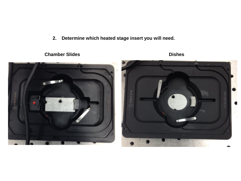**2. Determine which heated stage insert you will need.**





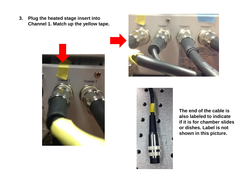**3. Plug the heated stage insert into Channel 1. Match up the yellow tape.**







**The end of the cable is also labeled to indicate if it is for chamber slides or dishes. Label is not shown in this picture.**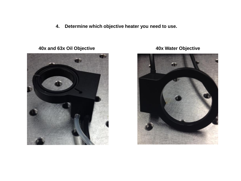**4. Determine which objective heater you need to use.**

**40x and 63x Oil Objective 40x Water Objective**



кŧ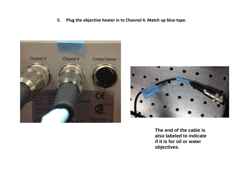**5. Plug the objective heater in to Channel 4. Match up blue tape.**





**The end of the cable is also labeled to indicate if it is for oil or water objectives.**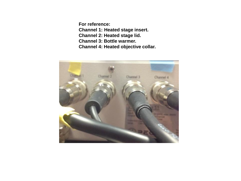**For reference: Channel 1: Heated stage insert. Channel 2: Heated stage lid. Channel 3: Bottle warmer. Channel 4: Heated objective collar.** 

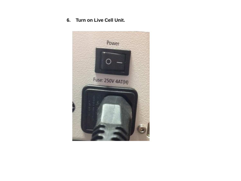#### **6. Turn on Live Cell Unit.**

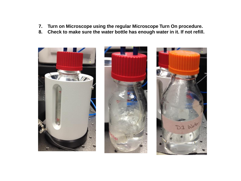- **7. Turn on Microscope using the regular Microscope Turn On procedure.**
- **8. Check to make sure the water bottle has enough water in it. If not refill.**





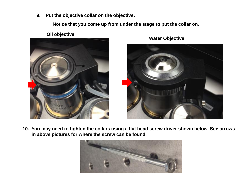**9. Put the objective collar on the objective**.

**Notice that you come up from under the stage to put the collar on.**



**Oil objective**



**Water Objective**

**10. You may need to tighten the collars using a flat head screw driver shown below. See arrows in above pictures for where the screw can be found.** 

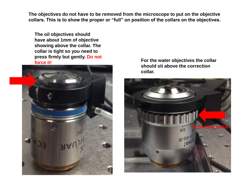**The objectives do not have to be removed from the microscope to put on the objective collars. This is to show the proper or "full" on position of the collars on the objectives.**

**The oil objectives should have about 1mm of objective showing above the collar. The collar is tight so you need to press firmly but gently. Do not** 



**force it! For the water objectives the collar should sit above the correction collar.**

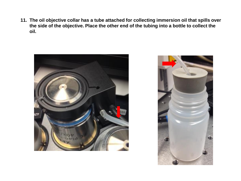**11. The oil objective collar has a tube attached for collecting immersion oil that spills over the side of the objective. Place the other end of the tubing into a bottle to collect the oil.**



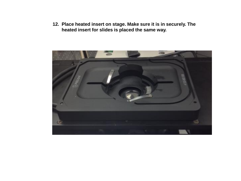**12. Place heated insert on stage. Make sure it is in securely. The heated insert for slides is placed the same way.**

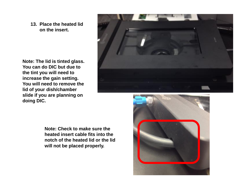**13. Place the heated lid on the insert.**

**Note: The lid is tinted glass. You can do DIC but due to the tint you will need to increase the gain setting. You will need to remove the lid of your dish/chamber slide if you are planning on doing DIC.**



**Note: Check to make sure the heated insert cable fits into the notch of the heated lid or the lid will not be placed properly.**

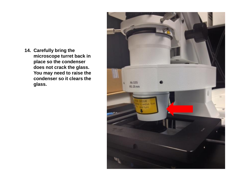**14. Carefully bring the microscope turret back in place so the condenser does not crack the glass. You may need to raise the condenser so it clears the glass.**

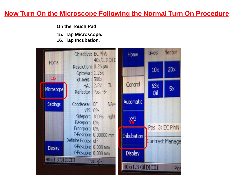### **Now Turn On the Microscope Following the Normal Turn On Procedure:**

**On the Touch Pad:**

- **15. Tap Microscope.**
- **16. Tap Incubation.**

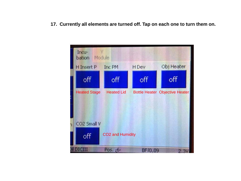**17. Currently all elements are turned off. Tap on each one to turn them on.**

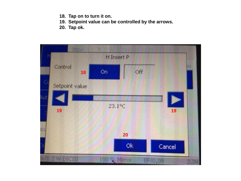- **18. Tap on to turn it on.**
- **19. Setpoint value can be controlled by the arrows.**
- **20. Tap ok.**

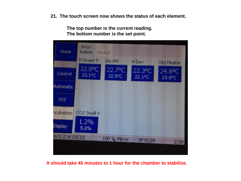**21. The touch screen now shows the status of each element.** 

**The top number is the current reading. The bottom number is the set point.**



#### **It should take 45 minutes to 1 hour for the chamber to stabilize.**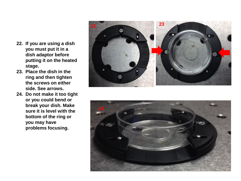- **22. If you are using a dish you must put it in a dish adaptor before putting it on the heated stage.**
- **23. Place the dish in the ring and then tighten the screws on either side. See arrows.**
- **24. Do not make it too tight or you could bend or break your dish. Make sure it is level with the bottom of the ring or you may have problems focusing.**



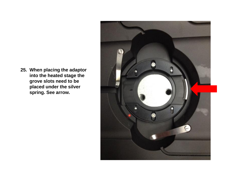**25. When placing the adaptor into the heated stage the grove slots need to be placed under the silver spring. See arrow.**